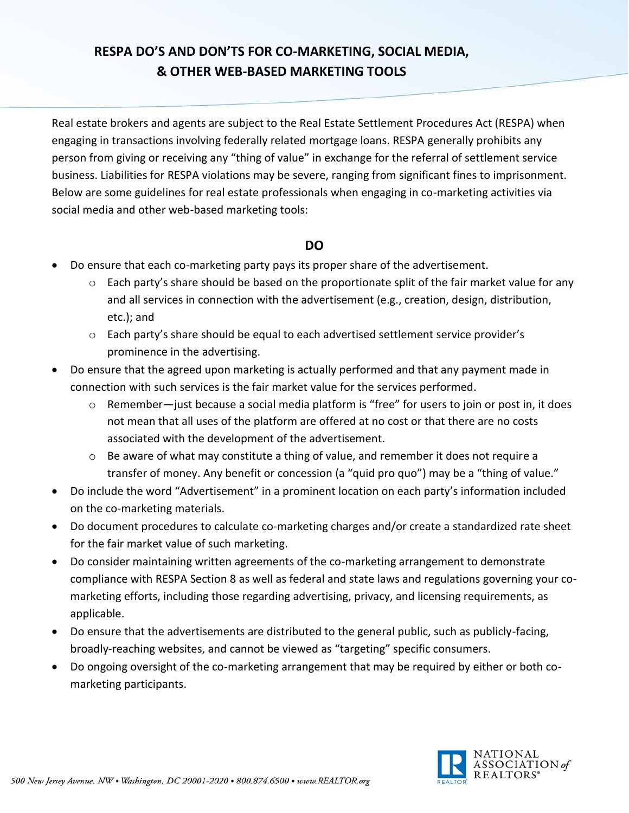## **RESPA DO'S AND DON'TS FOR CO-MARKETING, SOCIAL MEDIA, & OTHER WEB-BASED MARKETING TOOLS**

Real estate brokers and agents are subject to the Real Estate Settlement Procedures Act (RESPA) when engaging in transactions involving federally related mortgage loans. RESPA generally prohibits any person from giving or receiving any "thing of value" in exchange for the referral of settlement service business. Liabilities for RESPA violations may be severe, ranging from significant fines to imprisonment. Below are some guidelines for real estate professionals when engaging in co-marketing activities via social media and other web-based marketing tools:

## **DO**

- Do ensure that each co-marketing party pays its proper share of the advertisement.
	- o Each party's share should be based on the proportionate split of the fair market value for any and all services in connection with the advertisement (e.g., creation, design, distribution, etc.); and
	- o Each party's share should be equal to each advertised settlement service provider's prominence in the advertising.
- Do ensure that the agreed upon marketing is actually performed and that any payment made in connection with such services is the fair market value for the services performed.
	- $\circ$  Remember—just because a social media platform is "free" for users to join or post in, it does not mean that all uses of the platform are offered at no cost or that there are no costs associated with the development of the advertisement.
	- o Be aware of what may constitute a thing of value, and remember it does not require a transfer of money. Any benefit or concession (a "quid pro quo") may be a "thing of value."
- Do include the word "Advertisement" in a prominent location on each party's information included on the co-marketing materials.
- Do document procedures to calculate co-marketing charges and/or create a standardized rate sheet for the fair market value of such marketing.
- Do consider maintaining written agreements of the co-marketing arrangement to demonstrate compliance with RESPA Section 8 as well as federal and state laws and regulations governing your comarketing efforts, including those regarding advertising, privacy, and licensing requirements, as applicable.
- Do ensure that the advertisements are distributed to the general public, such as publicly-facing, broadly-reaching websites, and cannot be viewed as "targeting" specific consumers.
- Do ongoing oversight of the co-marketing arrangement that may be required by either or both comarketing participants.